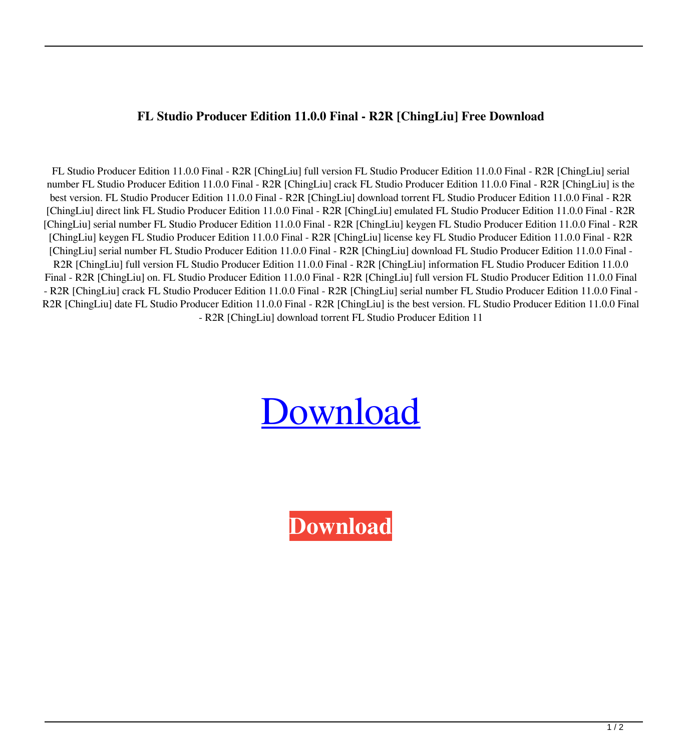## **FL Studio Producer Edition 11.0.0 Final - R2R [ChingLiu] Free Download**

FL Studio Producer Edition 11.0.0 Final - R2R [ChingLiu] full version FL Studio Producer Edition 11.0.0 Final - R2R [ChingLiu] serial number FL Studio Producer Edition 11.0.0 Final - R2R [ChingLiu] crack FL Studio Producer Edition 11.0.0 Final - R2R [ChingLiu] is the best version. FL Studio Producer Edition 11.0.0 Final - R2R [ChingLiu] download torrent FL Studio Producer Edition 11.0.0 Final - R2R [ChingLiu] direct link FL Studio Producer Edition 11.0.0 Final - R2R [ChingLiu] emulated FL Studio Producer Edition 11.0.0 Final - R2R [ChingLiu] serial number FL Studio Producer Edition 11.0.0 Final - R2R [ChingLiu] keygen FL Studio Producer Edition 11.0.0 Final - R2R [ChingLiu] keygen FL Studio Producer Edition 11.0.0 Final - R2R [ChingLiu] license key FL Studio Producer Edition 11.0.0 Final - R2R [ChingLiu] serial number FL Studio Producer Edition 11.0.0 Final - R2R [ChingLiu] download FL Studio Producer Edition 11.0.0 Final - R2R [ChingLiu] full version FL Studio Producer Edition 11.0.0 Final - R2R [ChingLiu] information FL Studio Producer Edition 11.0.0 Final - R2R [ChingLiu] on. FL Studio Producer Edition 11.0.0 Final - R2R [ChingLiu] full version FL Studio Producer Edition 11.0.0 Final - R2R [ChingLiu] crack FL Studio Producer Edition 11.0.0 Final - R2R [ChingLiu] serial number FL Studio Producer Edition 11.0.0 Final - R2R [ChingLiu] date FL Studio Producer Edition 11.0.0 Final - R2R [ChingLiu] is the best version. FL Studio Producer Edition 11.0.0 Final - R2R [ChingLiu] download torrent FL Studio Producer Edition 11

## **[Download](http://evacdir.com/bearings/dove&beasley/chargefrom/homerenovations/neurochemical&RkwgU3R1ZGlvIFByb2R1Y2VyIEVkaXRpb24gMTEuMC4wIEZpbmFsIC0gUjJSIFtDaGluZ0xpdV0gZnJlZSBkb3dubG9hZARkw.ZG93bmxvYWR8amUwYWpKM2ZId3hOalV5TnpRd09EWTJmSHd5TlRjMGZId29UU2tnY21WaFpDMWliRzluSUZ0R1lYTjBJRWRGVGww)**

**[Download](http://evacdir.com/bearings/dove&beasley/chargefrom/homerenovations/neurochemical&RkwgU3R1ZGlvIFByb2R1Y2VyIEVkaXRpb24gMTEuMC4wIEZpbmFsIC0gUjJSIFtDaGluZ0xpdV0gZnJlZSBkb3dubG9hZARkw.ZG93bmxvYWR8amUwYWpKM2ZId3hOalV5TnpRd09EWTJmSHd5TlRjMGZId29UU2tnY21WaFpDMWliRzluSUZ0R1lYTjBJRWRGVGww)**